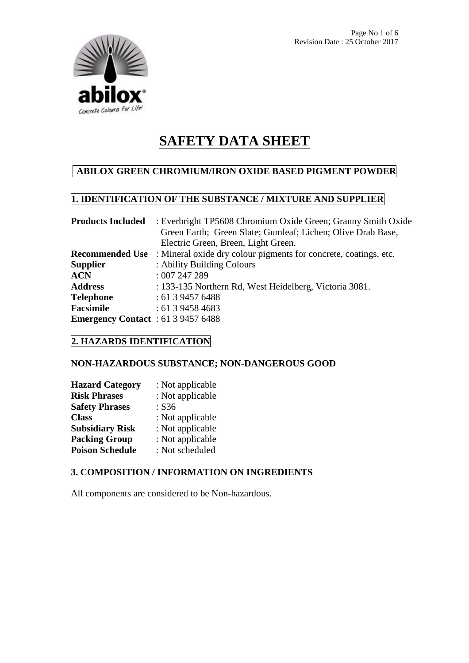

#### **ABILOX GREEN CHROMIUM/IRON OXIDE BASED PIGMENT POWDER**

# **1. IDENTIFICATION OF THE SUBSTANCE / MIXTURE AND SUPPLIER**

| <b>Products Included</b>                  | : Everbright TP5608 Chromium Oxide Green; Granny Smith Oxide     |  |  |
|-------------------------------------------|------------------------------------------------------------------|--|--|
|                                           | Green Earth; Green Slate; Gumleaf; Lichen; Olive Drab Base,      |  |  |
|                                           | Electric Green, Breen, Light Green.                              |  |  |
| <b>Recommended Use</b>                    | : Mineral oxide dry colour pigments for concrete, coatings, etc. |  |  |
| <b>Supplier</b>                           | : Ability Building Colours                                       |  |  |
| <b>ACN</b>                                | :007247289                                                       |  |  |
| <b>Address</b>                            | : 133-135 Northern Rd, West Heidelberg, Victoria 3081.           |  |  |
| <b>Telephone</b>                          | : 61394576488                                                    |  |  |
| <b>Facsimile</b>                          | : 61394584683                                                    |  |  |
| <b>Emergency Contact</b> : 61 3 9457 6488 |                                                                  |  |  |

## **2. HAZARDS IDENTIFICATION**

#### **NON-HAZARDOUS SUBSTANCE; NON-DANGEROUS GOOD**

| <b>Hazard Category</b> | : Not applicable |
|------------------------|------------------|
| <b>Risk Phrases</b>    | : Not applicable |
| <b>Safety Phrases</b>  | : S36            |
| <b>Class</b>           | : Not applicable |
| <b>Subsidiary Risk</b> | : Not applicable |
| <b>Packing Group</b>   | : Not applicable |
| <b>Poison Schedule</b> | : Not scheduled  |

#### **3. COMPOSITION / INFORMATION ON INGREDIENTS**

All components are considered to be Non-hazardous.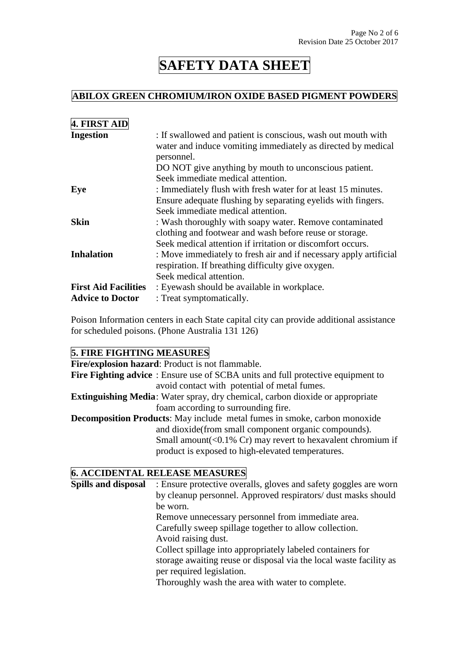# **ABILOX GREEN CHROMIUM/IRON OXIDE BASED PIGMENT POWDERS**

| <b>4. FIRST AID</b>         |                                                                                                                                            |
|-----------------------------|--------------------------------------------------------------------------------------------------------------------------------------------|
| <b>Ingestion</b>            | : If swallowed and patient is conscious, wash out mouth with<br>water and induce vomiting immediately as directed by medical<br>personnel. |
|                             | DO NOT give anything by mouth to unconscious patient.<br>Seek immediate medical attention.                                                 |
| Eye                         | : Immediately flush with fresh water for at least 15 minutes.                                                                              |
|                             | Ensure adequate flushing by separating eyelids with fingers.                                                                               |
|                             | Seek immediate medical attention.                                                                                                          |
| <b>Skin</b>                 | : Wash thoroughly with soapy water. Remove contaminated                                                                                    |
|                             | clothing and footwear and wash before reuse or storage.                                                                                    |
|                             | Seek medical attention if irritation or discomfort occurs.                                                                                 |
| <b>Inhalation</b>           | : Move immediately to fresh air and if necessary apply artificial                                                                          |
|                             | respiration. If breathing difficulty give oxygen.                                                                                          |
|                             | Seek medical attention.                                                                                                                    |
| <b>First Aid Facilities</b> | : Eyewash should be available in workplace.                                                                                                |
| <b>Advice to Doctor</b>     | : Treat symptomatically.                                                                                                                   |

Poison Information centers in each State capital city can provide additional assistance for scheduled poisons. (Phone Australia 131 126)

## **5. FIRE FIGHTING MEASURES**

| Fire/explosion hazard: Product is not flammable.                                                                                    |
|-------------------------------------------------------------------------------------------------------------------------------------|
| <b>Fire Fighting advice</b> : Ensure use of SCBA units and full protective equipment to                                             |
| avoid contact with potential of metal fumes.                                                                                        |
| Extinguishing Media: Water spray, dry chemical, carbon dioxide or appropriate                                                       |
| foam according to surrounding fire.                                                                                                 |
| <b>Decomposition Products:</b> May include metal fumes in smoke, carbon monoxide                                                    |
| and dioxide (from small component organic compounds).                                                                               |
| Small amount( $\langle 0.1\% \rangle$ Cr) may revert to hexavalent chromium if<br>product is exposed to high-elevated temperatures. |
|                                                                                                                                     |

# **6. ACCIDENTAL RELEASE MEASURES**

| <b>Spills and disposal</b><br>: Ensure protective overalls, gloves and safety goggles are worn |                                                                    |
|------------------------------------------------------------------------------------------------|--------------------------------------------------------------------|
|                                                                                                | by cleanup personnel. Approved respirators/ dust masks should      |
|                                                                                                | be worn.                                                           |
|                                                                                                | Remove unnecessary personnel from immediate area.                  |
|                                                                                                | Carefully sweep spillage together to allow collection.             |
|                                                                                                | Avoid raising dust.                                                |
|                                                                                                | Collect spillage into appropriately labeled containers for         |
|                                                                                                | storage awaiting reuse or disposal via the local waste facility as |
|                                                                                                | per required legislation.                                          |
|                                                                                                | Thoroughly wash the area with water to complete.                   |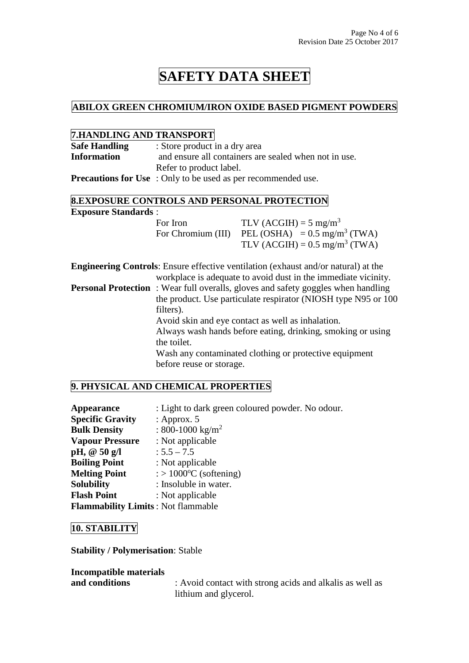### **ABILOX GREEN CHROMIUM/IRON OXIDE BASED PIGMENT POWDERS**

#### **7.HANDLING AND TRANSPORT**

| THE PLATE OF THE PLATE OF STR                     |                                                                                                                                                                                                                                            |                                                                                           |
|---------------------------------------------------|--------------------------------------------------------------------------------------------------------------------------------------------------------------------------------------------------------------------------------------------|-------------------------------------------------------------------------------------------|
| <b>Safe Handling</b>                              | : Store product in a dry area                                                                                                                                                                                                              |                                                                                           |
| <b>Information</b>                                | and ensure all containers are sealed when not in use.                                                                                                                                                                                      |                                                                                           |
|                                                   | Refer to product label.                                                                                                                                                                                                                    |                                                                                           |
|                                                   | <b>Precautions for Use</b> : Only to be used as per recommended use.                                                                                                                                                                       |                                                                                           |
|                                                   |                                                                                                                                                                                                                                            | <b>8.EXPOSURE CONTROLS AND PERSONAL PROTECTION</b>                                        |
| <b>Exposure Standards:</b>                        |                                                                                                                                                                                                                                            |                                                                                           |
|                                                   | For Iron                                                                                                                                                                                                                                   | TLV (ACGIH) = $5 \text{ mg/m}^3$                                                          |
|                                                   |                                                                                                                                                                                                                                            | For Chromium (III) PEL (OSHA) = $0.5 \text{ mg/m}^3$ (TWA)                                |
|                                                   |                                                                                                                                                                                                                                            | TLV (ACGIH) = $0.5 \text{ mg/m}^3$ (TWA)                                                  |
|                                                   |                                                                                                                                                                                                                                            | <b>Engineering Controls:</b> Ensure effective ventilation (exhaust and/or natural) at the |
|                                                   | workplace is adequate to avoid dust in the immediate vicinity.<br><b>Personal Protection</b> : Wear full overalls, gloves and safety goggles when handling<br>the product. Use particulate respirator (NIOSH type N95 or 100)<br>filters). |                                                                                           |
|                                                   |                                                                                                                                                                                                                                            |                                                                                           |
| Avoid skin and eye contact as well as inhalation. |                                                                                                                                                                                                                                            |                                                                                           |
|                                                   | Always wash hands before eating, drinking, smoking or using<br>the toilet.                                                                                                                                                                 |                                                                                           |
|                                                   | Wash any contaminated clothing or protective equipment                                                                                                                                                                                     |                                                                                           |
|                                                   | before reuse or storage.                                                                                                                                                                                                                   |                                                                                           |
|                                                   |                                                                                                                                                                                                                                            |                                                                                           |

# **9. PHYSICAL AND CHEMICAL PROPERTIES**

| <b>Appearance</b>                         | : Light to dark green coloured powder. No odour. |
|-------------------------------------------|--------------------------------------------------|
| <b>Specific Gravity</b>                   | : Approx. $5$                                    |
| <b>Bulk Density</b>                       | : 800-1000 kg/m <sup>2</sup>                     |
| <b>Vapour Pressure</b>                    | : Not applicable                                 |
| pH, $@50 g/l$                             | $: 5.5 - 7.5$                                    |
| <b>Boiling Point</b>                      | : Not applicable                                 |
| <b>Melting Point</b>                      | $\therefore$ 1000 <sup>o</sup> C (softening)     |
| <b>Solubility</b>                         | : Insoluble in water.                            |
| <b>Flash Point</b>                        | : Not applicable                                 |
| <b>Flammability Limits: Not flammable</b> |                                                  |

#### **10. STABILITY**

**Stability / Polymerisation**: Stable

**Incompatible materials** 

**and conditions** : Avoid contact with strong acids and alkalis as well as lithium and glycerol.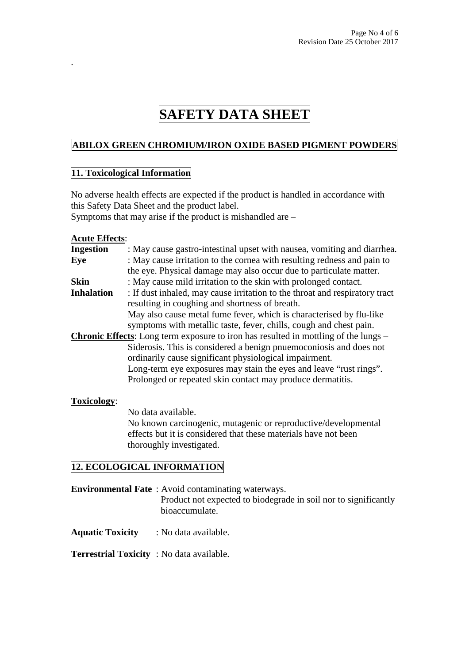## **ABILOX GREEN CHROMIUM/IRON OXIDE BASED PIGMENT POWDERS**

#### **11. Toxicological Information**

No adverse health effects are expected if the product is handled in accordance with this Safety Data Sheet and the product label. Symptoms that may arise if the product is mishandled are –

#### **Acute Effects**:

.

| $\frac{1}{2}$      |                                                                                            |
|--------------------|--------------------------------------------------------------------------------------------|
| <b>Ingestion</b>   | : May cause gastro-intestinal upset with nausea, vomiting and diarrhea.                    |
| Eye                | : May cause irritation to the cornea with resulting redness and pain to                    |
|                    | the eye. Physical damage may also occur due to particulate matter.                         |
| <b>Skin</b>        | : May cause mild irritation to the skin with prolonged contact.                            |
| <b>Inhalation</b>  | : If dust inhaled, may cause irritation to the throat and respiratory tract                |
|                    | resulting in coughing and shortness of breath.                                             |
|                    | May also cause metal fume fever, which is characterised by flu-like                        |
|                    | symptoms with metallic taste, fever, chills, cough and chest pain.                         |
|                    | <b>Chronic Effects:</b> Long term exposure to iron has resulted in mottling of the lungs – |
|                    | Siderosis. This is considered a benign pnuemoconiosis and does not                         |
|                    | ordinarily cause significant physiological impairment.                                     |
|                    | Long-term eye exposures may stain the eyes and leave "rust rings".                         |
|                    | Prolonged or repeated skin contact may produce dermatitis.                                 |
| <b>Toxicology:</b> |                                                                                            |
|                    | No data available.                                                                         |
|                    | No known carcinogenic, mutagenic or reproductive/developmental                             |
|                    | effects but it is considered that these materials have not been                            |
|                    | thoroughly investigated.                                                                   |
|                    | 12. ECOLOGICAL INFORMATION                                                                 |
|                    |                                                                                            |
|                    | <b>Environmental Fate</b> : Avoid contaminating waterways.                                 |
|                    | Product not expected to biodegrade in soil nor to significantly                            |

bioaccumulate.

**Aquatic Toxicity** : No data available.

**Terrestrial Toxicity** : No data available.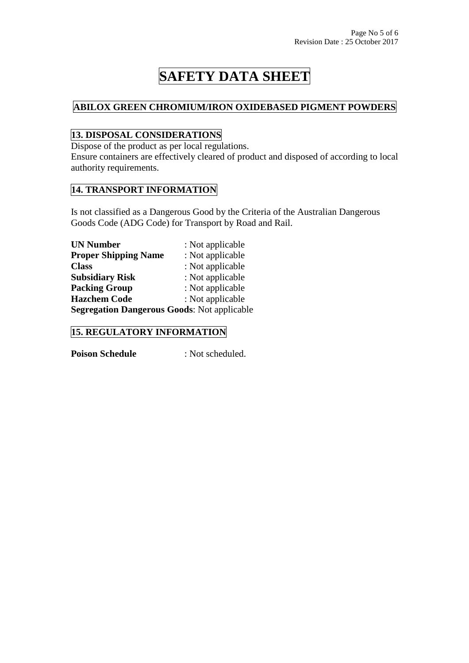### **ABILOX GREEN CHROMIUM/IRON OXIDEBASED PIGMENT POWDERS**

## **13. DISPOSAL CONSIDERATIONS**

Dispose of the product as per local regulations.

Ensure containers are effectively cleared of product and disposed of according to local authority requirements.

### **14. TRANSPORT INFORMATION**

Is not classified as a Dangerous Good by the Criteria of the Australian Dangerous Goods Code (ADG Code) for Transport by Road and Rail.

| <b>UN Number</b>                                   | : Not applicable |
|----------------------------------------------------|------------------|
| <b>Proper Shipping Name</b>                        | : Not applicable |
| <b>Class</b>                                       | : Not applicable |
| <b>Subsidiary Risk</b>                             | : Not applicable |
| <b>Packing Group</b>                               | : Not applicable |
| <b>Hazchem Code</b>                                | : Not applicable |
| <b>Segregation Dangerous Goods: Not applicable</b> |                  |

### **15. REGULATORY INFORMATION**

**Poison Schedule** : Not scheduled.